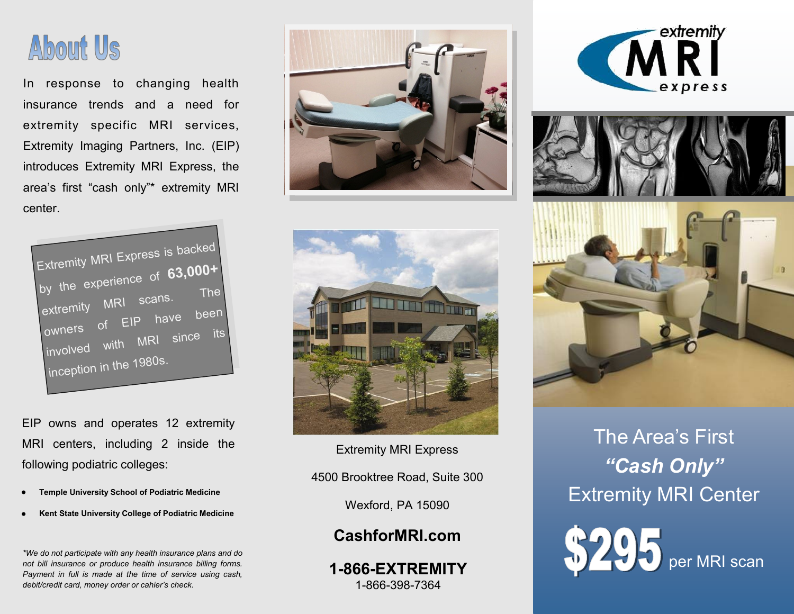

In response to changing health insurance trends and a need for extremity specific MRI services, Extremity Imaging Partners, Inc. (EIP) introduces Extremity MRI Express, the area's first "cash only"\* extremity MRI center.



EIP owns and operates 12 extremity MRI centers, including 2 inside the following podiatric colleges:

- **Temple University School of Podiatric Medicine**
- **Kent State University College of Podiatric Medicine**

*\*We do not participate with any health insurance plans and do not bill insurance or produce health insurance billing forms. Payment in full is made at the time of service using cash, debit/credit card, money order or cahier's check.* 





Extremity MRI Express 4500 Brooktree Road, Suite 300

Wexford, PA 15090

## **CashforMRI.com**

**1-866-EXTREMITY** 1-866-398-7364







The Area's First *"Cash Only"*  Extremity MRI Center

per MRI scan